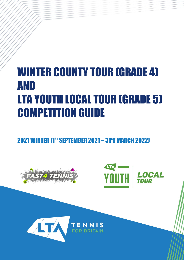# WINTER COUNTY TOUR (GRADE 4) AND LTA YOUTH LOCAL TOUR (GRADE 5) COMPETITION GUIDE

2021 WINTER [1<sup>st</sup> SEPTEMBER 2021 – 31<sup>s</sup>t MARCH 2022]





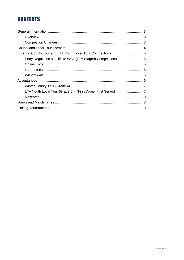# **CONTENTS**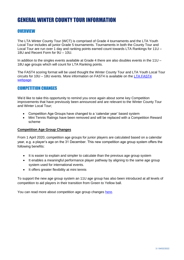# GENERAL WINTER COUNTY TOUR INFORMATION

## **OVERVIEW**

The LTA Winter County Tour (WCT) is comprised of Grade 4 tournaments and the LTA Youth Local Tour includes all junior Grade 5 tournaments. Tournaments in both the County Tour and Local Tour are run over 1 day and ranking points earned count towards LTA Rankings for 11U -18U and Recent Form for 9U – 10U.

In addition to the singles events available at Grade 4 there are also doubles events in the 11U – 18U age groups which will count for LTA Ranking points.

The FAST4 scoring format will be used thought the Winter County Tour and LTA Youth Local Tour circuits for 10U – 18U events. More information on FAST4 is available on the [LTA FAST4](https://www.lta.org.uk/play-compete/getting-started/adult-tennis/fast4-tennis/)  [webpage.](https://www.lta.org.uk/play-compete/getting-started/adult-tennis/fast4-tennis/)

## COMPETITION CHANGES

We'd like to take this opportunity to remind you once again about some key Competition improvements that have previously been announced and are relevant to the Winter County Tour and Winter Local Tour;

- Competition Age Groups have changed to a 'calendar year' based system
- Mini Tennis Ratings have been removed and will be replaced with a Competition Reward scheme

#### **Competition Age Group Changes**

From 1 April 2020, competition age groups for junior players are calculated based on a calendar year, e.g. a player's age on the 31 December. This new competition age group system offers the following benefits:

- It is easier to explain and simpler to calculate than the previous age group system
- It enables a meaningful performance player pathway by aligning to the same age group system used for international events.
- It offers greater flexibility at mini tennis

To support the new age group system an 11U age group has also been introduced at all levels of competition to aid players in their transition from Green to Yellow ball.

You can read more about competition age group changes [here.](https://www.lta.org.uk/play-compete/competing/competition-changes-20192020/competition-age-group-changes/)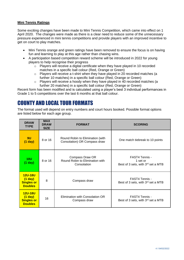#### **Mini Tennis Ratings**

Some exciting changes have been made to Mini Tennis Competition, which came into effect on 1 April 2020. The changes were made as there is a clear need to reduce some of the unnecessary pressure experienced in mini tennis competitions and provide players with an improved incentive to get on court to play matches.

- Mini Tennis orange and green ratings have been removed to ensure the focus is on having fun and learning to play at this age rather than chasing wins.
- A participation based competition reward scheme will be introduced in 2022 for young players to help recognise their progress
	- $\circ$  Players will receive a digital certificate when they have played in 10 recorded matches in a specific ball colour (Red, Orange or Green)
	- o Players will receive a t-shirt when they have played in 20 recorded matches (a further 10 matches) in a specific ball colour (Red, Orange or Green)
	- o Players will receive a hoody when they have played in 40 recorded matches (a further 20 matches) in a specific ball colour (Red, Orange or Green)

Recent form has been modified and is calculated using a player's best 3 individual performances in Grade 1 to 5 competitions over the last 6 months at that ball colour.

# COUNTY AND LOCAL TOUR FORMATS

The format used will depend on entry numbers and court hours booked. Possible format options are listed below for each age group.

| <b>DRAW</b><br><b>TYPE</b>                                         | <b>MAX</b><br><b>DRAW</b><br><b>SIZE</b> | <b>FORMAT</b>                                                     | <b>SCORING</b>                                                               |
|--------------------------------------------------------------------|------------------------------------------|-------------------------------------------------------------------|------------------------------------------------------------------------------|
| 9U<br>$(1$ day)                                                    | 8 or 16                                  | Round Robin to Elimination (with<br>Consolation) OR Compass draw  | One match tiebreak to 10 points                                              |
| 10U<br>$(1$ day)                                                   | 8 or 16                                  | Compass Draw OR<br>Round Robin to Elimination with<br>Consolation | FAST4 Tennis -<br>1 set or<br>Best of 3 sets, with 3 <sup>rd</sup> set a MTB |
| <b>12U-18U</b><br>$(1$ day)<br><b>Singles or</b><br><b>Doubles</b> | 8                                        | Compass draw                                                      | FAST4 Tennis -<br>Best of 3 sets, with 3 <sup>rd</sup> set a MTB             |
| <b>12U-18U</b><br>$(1$ day)<br><b>Singles or</b><br><b>Doubles</b> | 16                                       | Elimination with Consolation OR<br>Compass draw                   | FAST4 Tennis -<br>Best of 3 sets, with 3rd set a MTB                         |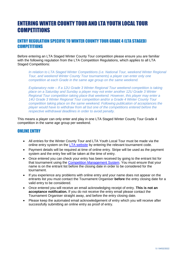# ENTERING WINTER COUNTY TOUR AND LTA YOUTH LOCAL TOUR **COMPETITIONS**

## ENTRY REGULATION SPECIFIC TO WINTER COUNTY TOUR GRADE 4 (LTA STAGED) **COMPETITIONS**

Before entering an LTA Staged Winter County Tour competition please ensure you are familiar with the following regulation from the LTA Competition Regulations, which applies to all LTA Staged Competitions:

*In relation to LTA Staged Winter Competitions (i.e. National Tour, weekend Winter Regional Tour, and weekend Winter County Tour tournaments) a player can enter only one competition at each Grade in the same age group on the same weekend.*

*Explanatory note – If a 12U Grade 3 Winter Regional Tour weekend competition is taking place on a Saturday and Sunday a player may not enter another 12U Grade 3 Winter Regional Tour competition taking place that weekend. However, this player may enter a 14U Grade 3 Winter Regional Tour competition and/or a Grade 4 Winter County Tour competition taking place on the same weekend. Following publication of acceptances the player would have to withdraw from all but one of the competitions entered before the respective withdrawal deadlines in order to avoid penalty.*

This means a player can only enter and play in one LTA Staged Winter County Tour Grade 4 competition in the same age group per weekend.

## **ONLINE ENTRY**

- All entries for the Winter County Tour and LTA Youth Local Tour must be made via the online entry system on the [LTA website](https://competitions.lta.org.uk/) by entering the relevant tournament code.
- Payment details will be required at time of online entry. Stripe will be used as the payment system and the entry fee will be taken at the time of entry.
- Once entered you can check your entry has been received by going to the entrant list for that tournament using the [Competition Management System.](https://competitions.lta.org.uk/) You must ensure that your name is on the entrant list before the closing date in order to be considered for the tournament.
- If you experience any problems with online entry and your name does not appear on the entrants list you must contact the Tournament Organiser **before** the entry closing date for a valid entry to be considered.
- Once entered you will receive an email acknowledging receipt of entry. **This is not an acceptance notification.** If you do not receive the entry email please contact the Tournament Organiser straight away, and before the entry closing date.
- Please keep the automated email acknowledgement of entry which you will receive after successfully submitting an online entry as proof of entry.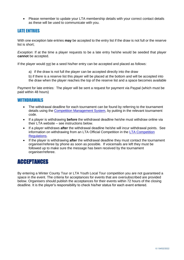• Please remember to update your LTA membership details with your correct contact details as these will be used to communicate with you.

# LATE ENTRIES

With one exception late entries **may** be accepted to the entry list if the draw is not full or the reserve list is short;

*Exception*: If at the time a player requests to be a late entry he/she would be seeded that player **cannot** be accepted.

If the player would not be a seed his/her entry can be accepted and placed as follows:

a) if the draw is not full the player can be accepted directly into the draw

b) if there is a reserve list this player will be placed at the bottom and will be accepted into the draw when the player reaches the top of the reserve list and a space becomes available

Payment for late entries: The player will be sent a request for payment via Paypal (which must be paid within 48 hours)

#### **WITHDRAWALS**

- The withdrawal deadline for each tournament can be found by referring to the tournament details using the [Competition Management System,](https://competitions.lta.org.uk/) by putting in the relevant tournament code.
- If a player is withdrawing **before** the withdrawal deadline he/she must withdraw online via their LTA website – see instructions below.
- If a player withdraws **after** the withdrawal deadline he/she will incur withdrawal points. See information on withdrawing from an LTA Official Competition in the [LTA Competition](http://www3.lta.org.uk/volunteers-officials/Regulations/)  [Regulations.](http://www3.lta.org.uk/volunteers-officials/Regulations/)
- If the player is withdrawing **after** the withdrawal deadline they must contact the tournament organiser/referee by phone as soon as possible. If voicemails are left they must be followed up to make sure the message has been received by the tournament organiser/referee.

# ACCEPTANCES

By entering a Winter County Tour or LTA Youth Local Tour competition you are not guaranteed a space in the event. The criteria for acceptances for events that are oversubscribed are provided below. Organisers should publish the acceptances for their events within 72 hours of the closing deadline. It is the player's responsibility to check his/her status for each event entered.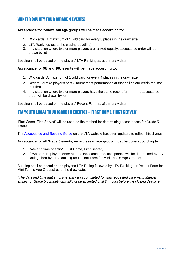# WINTER COUNTY TOUR (GRADE 4 EVENTS)

#### **Acceptance for Yellow Ball age groups will be made according to:**

- 1. Wild cards: A maximum of 1 wild card for every 8 places in the draw size
- 2. LTA Rankings (as at the closing deadline)
- 3. In a situation where two or more players are ranked equally, acceptance order will be drawn by lot

Seeding shall be based on the players' LTA Ranking as at the draw date.

#### **Acceptance for 9U and 10U events will be made according to:**

- 1. Wild cards: A maximum of 1 wild card for every 4 places in the draw size
- 2. Recent Form (a player's best 3 tournament performance at that ball colour within the last 6 months)
- 4. In a situation where two or more players have the same recent form exacceptance order will be drawn by lot

Seeding shall be based on the players' Recent Form as of the draw date

## LTA YOUTH LOCAL TOUR (GRADE 5 EVENTS) – 'FIRST COME, FIRST SERVED'

'First Come, First Served' will be used as the method for determining acceptances for Grade 5 events.

The [Acceptance and Seeding Guide](https://www.lta.org.uk/globalassets/competitions/rules-and-regulations/acceptance--seeding-guide.pdf) on the LTA website has been updated to reflect this change.

#### **Acceptance for all Grade 5 events, regardless of age group, must be done according to:**

- 1. Date and time of entry\* (First Come, First Served)
- 2. If two or more players enter at the exact same time, acceptance will be determined by LTA Rating, then by LTA Ranking (or Recent Form for Mini Tennis Age Groups)

Seeding shall be based on the player's LTA Rating followed by LTA Ranking (or Recent Form for Mini Tennis Age Groups) as of the draw date.

\**The date and time that an online entry was completed (or was requested via email). Manual entries for Grade 5 competitions will not be accepted until 24 hours before the closing deadline.*